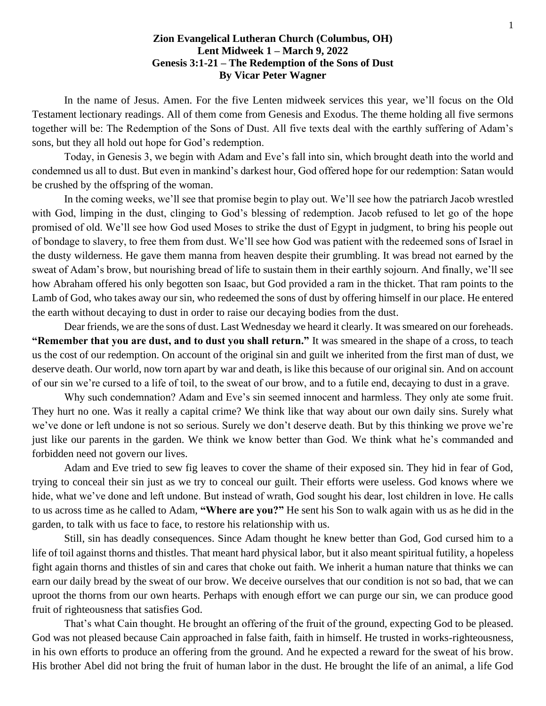## **Zion Evangelical Lutheran Church (Columbus, OH) Lent Midweek 1 – March 9, 2022 Genesis 3:1-21 – The Redemption of the Sons of Dust By Vicar Peter Wagner**

In the name of Jesus. Amen. For the five Lenten midweek services this year, we'll focus on the Old Testament lectionary readings. All of them come from Genesis and Exodus. The theme holding all five sermons together will be: The Redemption of the Sons of Dust. All five texts deal with the earthly suffering of Adam's sons, but they all hold out hope for God's redemption.

Today, in Genesis 3, we begin with Adam and Eve's fall into sin, which brought death into the world and condemned us all to dust. But even in mankind's darkest hour, God offered hope for our redemption: Satan would be crushed by the offspring of the woman.

In the coming weeks, we'll see that promise begin to play out. We'll see how the patriarch Jacob wrestled with God, limping in the dust, clinging to God's blessing of redemption. Jacob refused to let go of the hope promised of old. We'll see how God used Moses to strike the dust of Egypt in judgment, to bring his people out of bondage to slavery, to free them from dust. We'll see how God was patient with the redeemed sons of Israel in the dusty wilderness. He gave them manna from heaven despite their grumbling. It was bread not earned by the sweat of Adam's brow, but nourishing bread of life to sustain them in their earthly sojourn. And finally, we'll see how Abraham offered his only begotten son Isaac, but God provided a ram in the thicket. That ram points to the Lamb of God, who takes away our sin, who redeemed the sons of dust by offering himself in our place. He entered the earth without decaying to dust in order to raise our decaying bodies from the dust.

Dear friends, we are the sons of dust. Last Wednesday we heard it clearly. It was smeared on our foreheads. **"Remember that you are dust, and to dust you shall return."** It was smeared in the shape of a cross, to teach us the cost of our redemption. On account of the original sin and guilt we inherited from the first man of dust, we deserve death. Our world, now torn apart by war and death, is like this because of our original sin. And on account of our sin we're cursed to a life of toil, to the sweat of our brow, and to a futile end, decaying to dust in a grave.

Why such condemnation? Adam and Eve's sin seemed innocent and harmless. They only ate some fruit. They hurt no one. Was it really a capital crime? We think like that way about our own daily sins. Surely what we've done or left undone is not so serious. Surely we don't deserve death. But by this thinking we prove we're just like our parents in the garden. We think we know better than God. We think what he's commanded and forbidden need not govern our lives.

Adam and Eve tried to sew fig leaves to cover the shame of their exposed sin. They hid in fear of God, trying to conceal their sin just as we try to conceal our guilt. Their efforts were useless. God knows where we hide, what we've done and left undone. But instead of wrath, God sought his dear, lost children in love. He calls to us across time as he called to Adam, **"Where are you?"** He sent his Son to walk again with us as he did in the garden, to talk with us face to face, to restore his relationship with us.

Still, sin has deadly consequences. Since Adam thought he knew better than God, God cursed him to a life of toil against thorns and thistles. That meant hard physical labor, but it also meant spiritual futility, a hopeless fight again thorns and thistles of sin and cares that choke out faith. We inherit a human nature that thinks we can earn our daily bread by the sweat of our brow. We deceive ourselves that our condition is not so bad, that we can uproot the thorns from our own hearts. Perhaps with enough effort we can purge our sin, we can produce good fruit of righteousness that satisfies God.

That's what Cain thought. He brought an offering of the fruit of the ground, expecting God to be pleased. God was not pleased because Cain approached in false faith, faith in himself. He trusted in works-righteousness, in his own efforts to produce an offering from the ground. And he expected a reward for the sweat of his brow. His brother Abel did not bring the fruit of human labor in the dust. He brought the life of an animal, a life God